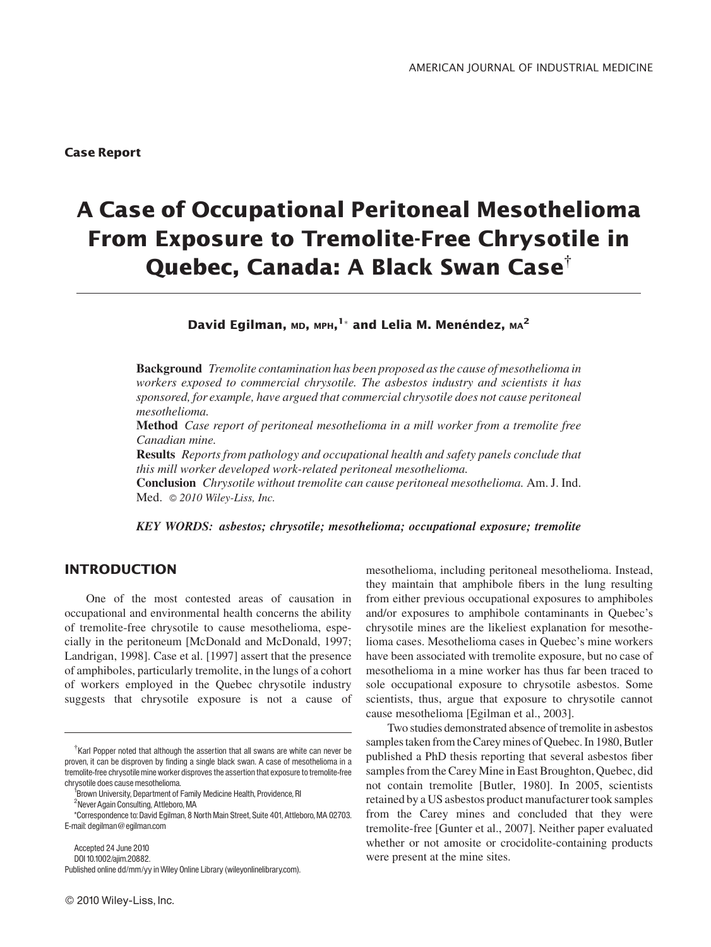# A Case of Occupational Peritoneal Mesothelioma From Exposure to Tremolite-Free Chrysotile in Quebec, Canada: A Black Swan Case<sup>†</sup>

David Egilman, мр, мрн, $^{\rm l}{}^*$  and Lelia M. Menéndez, мд $^{\rm 2}$ 

Background Tremolite contamination has been proposed as the cause of mesothelioma in workers exposed to commercial chrysotile. The asbestos industry and scientists it has sponsored, for example, have argued that commercial chrysotile does not cause peritoneal mesothelioma.

Method Case report of peritoneal mesothelioma in a mill worker from a tremolite free Canadian mine.

Results Reports from pathology and occupational health and safety panels conclude that this mill worker developed work-related peritoneal mesothelioma.

Conclusion Chrysotile without tremolite can cause peritoneal mesothelioma. Am. J. Ind. Med. © 2010 Wiley-Liss, Inc.

KEY WORDS: asbestos; chrysotile; mesothelioma; occupational exposure; tremolite

## INTRODUCTION

One of the most contested areas of causation in occupational and environmental health concerns the ability of tremolite-free chrysotile to cause mesothelioma, especially in the peritoneum [McDonald and McDonald, 1997; Landrigan, 1998]. Case et al. [1997] assert that the presence of amphiboles, particularly tremolite, in the lungs of a cohort of workers employed in the Quebec chrysotile industry suggests that chrysotile exposure is not a cause of

Accepted 24 June 2010 DOI10.1002/ajim.20882. Published online dd/mm/yy in Wiley Online Library (wileyonlinelibrary.com).

2010 Wiley-Liss,Inc.

mesothelioma, including peritoneal mesothelioma. Instead, they maintain that amphibole fibers in the lung resulting from either previous occupational exposures to amphiboles and/or exposures to amphibole contaminants in Quebec's chrysotile mines are the likeliest explanation for mesothelioma cases. Mesothelioma cases in Quebec's mine workers have been associated with tremolite exposure, but no case of mesothelioma in a mine worker has thus far been traced to sole occupational exposure to chrysotile asbestos. Some scientists, thus, argue that exposure to chrysotile cannot cause mesothelioma [Egilman et al., 2003].

Two studies demonstrated absence of tremolite in asbestos samples taken from the Carey mines of Quebec. In 1980, Butler published a PhD thesis reporting that several asbestos fiber samples from the Carey Mine in East Broughton, Quebec, did not contain tremolite [Butler, 1980]. In 2005, scientists retained by a US asbestos product manufacturer took samples from the Carey mines and concluded that they were tremolite-free [Gunter et al., 2007]. Neither paper evaluated whether or not amosite or crocidolite-containing products were present at the mine sites.

 $\dagger$ Karl Popper noted that although the assertion that all swans are white can never be proven, it can be disproven by finding a single black swan. A case of mesothelioma in a tremolite-free chrysotile mine worker disproves the assertion that exposure to tremolite-free chrysotile does cause mesothelioma. <sup>1</sup>

<sup>&</sup>lt;sup>1</sup> Brown University, Department of Family Medicine Health, Providence, RI

<sup>&</sup>lt;sup>2</sup>Never Again Consulting, Attleboro, MA

<sup>\*</sup>Correspondence to: David Egilman, 8 North Main Street, Suite 401, Attleboro,MA 02703. E-mail: degilman@egilman.com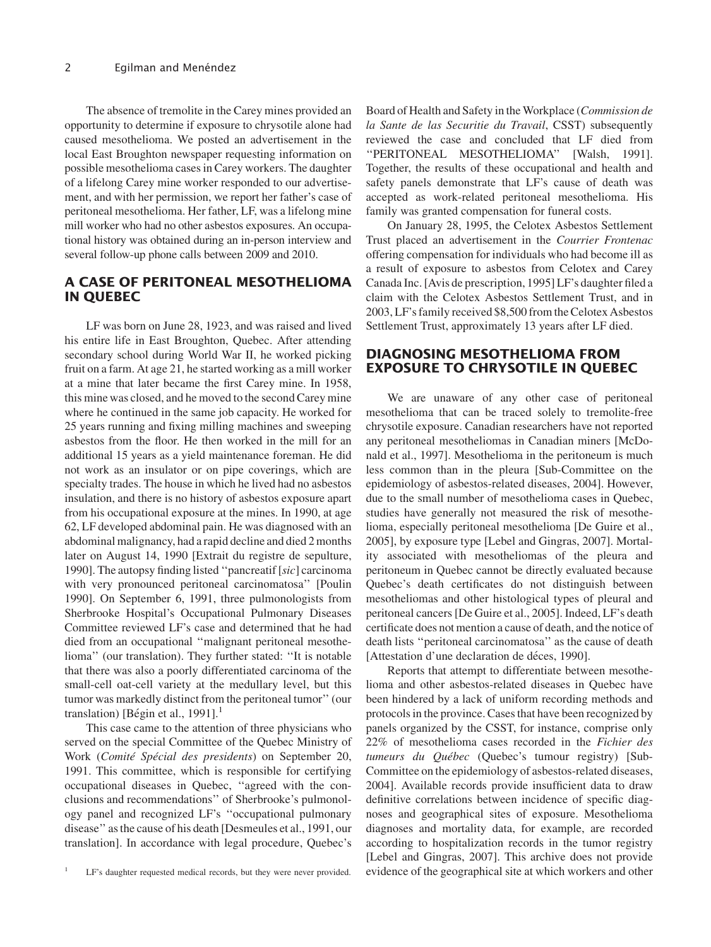The absence of tremolite in the Carey mines provided an opportunity to determine if exposure to chrysotile alone had caused mesothelioma. We posted an advertisement in the local East Broughton newspaper requesting information on possible mesothelioma cases in Carey workers. The daughter of a lifelong Carey mine worker responded to our advertisement, and with her permission, we report her father's case of peritoneal mesothelioma. Her father, LF, was a lifelong mine mill worker who had no other asbestos exposures. An occupational history was obtained during an in-person interview and several follow-up phone calls between 2009 and 2010.

## A CASE OF PERITONEAL MESOTHELIOMA IN QUEBEC

LF was born on June 28, 1923, and was raised and lived his entire life in East Broughton, Quebec. After attending secondary school during World War II, he worked picking fruit on a farm. At age 21, he started working as a mill worker at a mine that later became the first Carey mine. In 1958, this mine was closed, and he moved to the second Carey mine where he continued in the same job capacity. He worked for 25 years running and fixing milling machines and sweeping asbestos from the floor. He then worked in the mill for an additional 15 years as a yield maintenance foreman. He did not work as an insulator or on pipe coverings, which are specialty trades. The house in which he lived had no asbestos insulation, and there is no history of asbestos exposure apart from his occupational exposure at the mines. In 1990, at age 62, LF developed abdominal pain. He was diagnosed with an abdominal malignancy, had a rapid decline and died 2 months later on August 14, 1990 [Extrait du registre de sepulture, 1990]. The autopsy finding listed ''pancreatif [sic] carcinoma with very pronounced peritoneal carcinomatosa'' [Poulin 1990]. On September 6, 1991, three pulmonologists from Sherbrooke Hospital's Occupational Pulmonary Diseases Committee reviewed LF's case and determined that he had died from an occupational ''malignant peritoneal mesothelioma'' (our translation). They further stated: ''It is notable that there was also a poorly differentiated carcinoma of the small-cell oat-cell variety at the medullary level, but this tumor was markedly distinct from the peritoneal tumor'' (our translation) [Bégin et al., 1991].<sup>1</sup>

This case came to the attention of three physicians who served on the special Committee of the Quebec Ministry of Work (Comité Spécial des presidents) on September 20, 1991. This committee, which is responsible for certifying occupational diseases in Quebec, ''agreed with the conclusions and recommendations'' of Sherbrooke's pulmonology panel and recognized LF's ''occupational pulmonary disease'' as the cause of his death [Desmeules et al., 1991, our translation]. In accordance with legal procedure, Quebec's

Board of Health and Safety in the Workplace (Commission de la Sante de las Securitie du Travail, CSST) subsequently reviewed the case and concluded that LF died from ''PERITONEAL MESOTHELIOMA'' [Walsh, 1991]. Together, the results of these occupational and health and safety panels demonstrate that LF's cause of death was accepted as work-related peritoneal mesothelioma. His family was granted compensation for funeral costs.

On January 28, 1995, the Celotex Asbestos Settlement Trust placed an advertisement in the Courrier Frontenac offering compensation for individuals who had become ill as a result of exposure to asbestos from Celotex and Carey Canada Inc. [Avis de prescription, 1995] LF's daughter filed a claim with the Celotex Asbestos Settlement Trust, and in 2003, LF's family received \$8,500 from the Celotex Asbestos Settlement Trust, approximately 13 years after LF died.

#### DIAGNOSING MESOTHELIOMA FROM EXPOSURE TO CHRYSOTILE IN QUEBEC

We are unaware of any other case of peritoneal mesothelioma that can be traced solely to tremolite-free chrysotile exposure. Canadian researchers have not reported any peritoneal mesotheliomas in Canadian miners [McDonald et al., 1997]. Mesothelioma in the peritoneum is much less common than in the pleura [Sub-Committee on the epidemiology of asbestos-related diseases, 2004]. However, due to the small number of mesothelioma cases in Quebec, studies have generally not measured the risk of mesothelioma, especially peritoneal mesothelioma [De Guire et al., 2005], by exposure type [Lebel and Gingras, 2007]. Mortality associated with mesotheliomas of the pleura and peritoneum in Quebec cannot be directly evaluated because Quebec's death certificates do not distinguish between mesotheliomas and other histological types of pleural and peritoneal cancers [De Guire et al., 2005]. Indeed, LF's death certificate does not mention a cause of death, and the notice of death lists ''peritoneal carcinomatosa'' as the cause of death [Attestation d'une declaration de déces, 1990].

Reports that attempt to differentiate between mesothelioma and other asbestos-related diseases in Quebec have been hindered by a lack of uniform recording methods and protocols in the province. Cases that have been recognized by panels organized by the CSST, for instance, comprise only 22% of mesothelioma cases recorded in the Fichier des tumeurs du Québec (Quebec's tumour registry) [Sub-Committee on the epidemiology of asbestos-related diseases, 2004]. Available records provide insufficient data to draw definitive correlations between incidence of specific diagnoses and geographical sites of exposure. Mesothelioma diagnoses and mortality data, for example, are recorded according to hospitalization records in the tumor registry [Lebel and Gingras, 2007]. This archive does not provide LF's daughter requested medical records, but they were never provided. evidence of the geographical site at which workers and other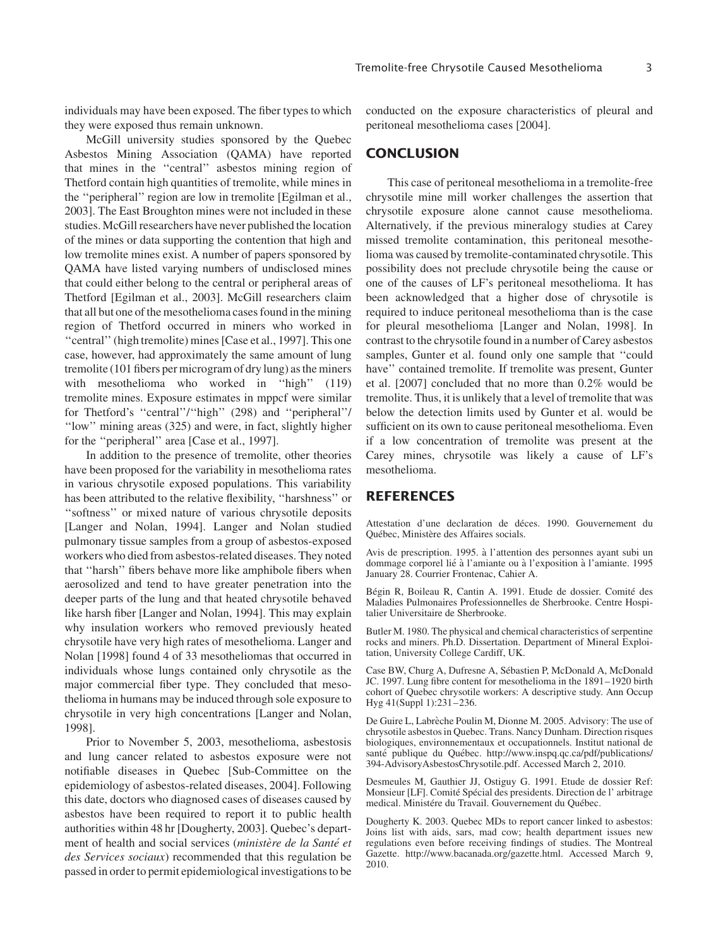individuals may have been exposed. The fiber types to which they were exposed thus remain unknown.

McGill university studies sponsored by the Quebec Asbestos Mining Association (QAMA) have reported that mines in the ''central'' asbestos mining region of Thetford contain high quantities of tremolite, while mines in the ''peripheral'' region are low in tremolite [Egilman et al., 2003]. The East Broughton mines were not included in these studies. McGill researchers have never published the location of the mines or data supporting the contention that high and low tremolite mines exist. A number of papers sponsored by QAMA have listed varying numbers of undisclosed mines that could either belong to the central or peripheral areas of Thetford [Egilman et al., 2003]. McGill researchers claim that all but one of the mesothelioma cases found in the mining region of Thetford occurred in miners who worked in ''central'' (high tremolite) mines [Case et al., 1997]. This one case, however, had approximately the same amount of lung tremolite (101 fibers per microgram of dry lung) as the miners with mesothelioma who worked in "high" (119) tremolite mines. Exposure estimates in mppcf were similar for Thetford's ''central''/''high'' (298) and ''peripheral''/ ''low'' mining areas (325) and were, in fact, slightly higher for the ''peripheral'' area [Case et al., 1997].

In addition to the presence of tremolite, other theories have been proposed for the variability in mesothelioma rates in various chrysotile exposed populations. This variability has been attributed to the relative flexibility, ''harshness'' or ''softness'' or mixed nature of various chrysotile deposits [Langer and Nolan, 1994]. Langer and Nolan studied pulmonary tissue samples from a group of asbestos-exposed workers who died from asbestos-related diseases. They noted that ''harsh'' fibers behave more like amphibole fibers when aerosolized and tend to have greater penetration into the deeper parts of the lung and that heated chrysotile behaved like harsh fiber [Langer and Nolan, 1994]. This may explain why insulation workers who removed previously heated chrysotile have very high rates of mesothelioma. Langer and Nolan [1998] found 4 of 33 mesotheliomas that occurred in individuals whose lungs contained only chrysotile as the major commercial fiber type. They concluded that mesothelioma in humans may be induced through sole exposure to chrysotile in very high concentrations [Langer and Nolan, 1998].

Prior to November 5, 2003, mesothelioma, asbestosis and lung cancer related to asbestos exposure were not notifiable diseases in Quebec [Sub-Committee on the epidemiology of asbestos-related diseases, 2004]. Following this date, doctors who diagnosed cases of diseases caused by asbestos have been required to report it to public health authorities within 48 hr [Dougherty, 2003]. Quebec's department of health and social services (ministère de la Santé et des Services sociaux) recommended that this regulation be passed in order to permit epidemiological investigations to be

conducted on the exposure characteristics of pleural and peritoneal mesothelioma cases [2004].

### **CONCLUSION**

This case of peritoneal mesothelioma in a tremolite-free chrysotile mine mill worker challenges the assertion that chrysotile exposure alone cannot cause mesothelioma. Alternatively, if the previous mineralogy studies at Carey missed tremolite contamination, this peritoneal mesothelioma was caused by tremolite-contaminated chrysotile. This possibility does not preclude chrysotile being the cause or one of the causes of LF's peritoneal mesothelioma. It has been acknowledged that a higher dose of chrysotile is required to induce peritoneal mesothelioma than is the case for pleural mesothelioma [Langer and Nolan, 1998]. In contrast to the chrysotile found in a number of Carey asbestos samples, Gunter et al. found only one sample that ''could have'' contained tremolite. If tremolite was present, Gunter et al. [2007] concluded that no more than 0.2% would be tremolite. Thus, it is unlikely that a level of tremolite that was below the detection limits used by Gunter et al. would be sufficient on its own to cause peritoneal mesothelioma. Even if a low concentration of tremolite was present at the Carey mines, chrysotile was likely a cause of LF's mesothelioma.

#### **REFERENCES**

Attestation d'une declaration de déces. 1990. Gouvernement du Québec, Ministère des Affaires socials.

Avis de prescription. 1995. a` l'attention des personnes ayant subi un dommage corporel lié à l'amiante ou à l'exposition à l'amiante. 1995 January 28. Courrier Frontenac, Cahier A.

Bégin R, Boileau R, Cantin A. 1991. Etude de dossier. Comité des Maladies Pulmonaires Professionnelles de Sherbrooke. Centre Hospitalier Universitaire de Sherbrooke.

Butler M. 1980. The physical and chemical characteristics of serpentine rocks and miners. Ph.D. Dissertation. Department of Mineral Exploitation, University College Cardiff, UK.

Case BW, Churg A, Dufresne A, Sébastien P, McDonald A, McDonald JC. 1997. Lung fibre content for mesothelioma in the 1891–1920 birth cohort of Quebec chrysotile workers: A descriptive study. Ann Occup Hyg 41(Suppl 1):231–236.

De Guire L, Labrèche Poulin M, Dionne M. 2005. Advisory: The use of chrysotile asbestos in Quebec. Trans. Nancy Dunham. Direction risques biologiques, environnementaux et occupationnels. Institut national de santé publique du Québec. http://www.inspq.qc.ca/pdf/publications/ 394-AdvisoryAsbestosChrysotile.pdf. Accessed March 2, 2010.

Desmeules M, Gauthier JJ, Ostiguy G. 1991. Etude de dossier Ref: Monsieur [LF]. Comité Spécial des presidents. Direction de l'arbitrage medical. Ministére du Travail. Gouvernement du Québec.

Dougherty K. 2003. Quebec MDs to report cancer linked to asbestos: Joins list with aids, sars, mad cow; health department issues new regulations even before receiving findings of studies. The Montreal Gazette. http://www.bacanada.org/gazette.html. Accessed March 9, 2010.